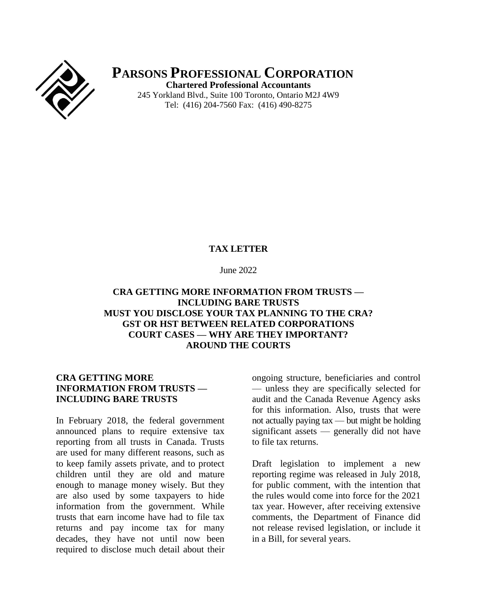

**PARSONS PROFESSIONAL CORPORATION Chartered Professional Accountants** 245 Yorkland Blvd., Suite 100 Toronto, Ontario M2J 4W9 Tel: (416) 204-7560 Fax: (416) 490-8275

#### **TAX LETTER**

#### June 2022

## **CRA GETTING MORE INFORMATION FROM TRUSTS — INCLUDING BARE TRUSTS MUST YOU DISCLOSE YOUR TAX PLANNING TO THE CRA? GST OR HST BETWEEN RELATED CORPORATIONS COURT CASES — WHY ARE THEY IMPORTANT? AROUND THE COURTS**

## **CRA GETTING MORE INFORMATION FROM TRUSTS — INCLUDING BARE TRUSTS**

In February 2018, the federal government announced plans to require extensive tax reporting from all trusts in Canada. Trusts are used for many different reasons, such as to keep family assets private, and to protect children until they are old and mature enough to manage money wisely. But they are also used by some taxpayers to hide information from the government. While trusts that earn income have had to file tax returns and pay income tax for many decades, they have not until now been required to disclose much detail about their

ongoing structure, beneficiaries and control — unless they are specifically selected for audit and the Canada Revenue Agency asks for this information. Also, trusts that were not actually paying tax — but might be holding significant assets — generally did not have to file tax returns.

Draft legislation to implement a new reporting regime was released in July 2018, for public comment, with the intention that the rules would come into force for the 2021 tax year. However, after receiving extensive comments, the Department of Finance did not release revised legislation, or include it in a Bill, for several years.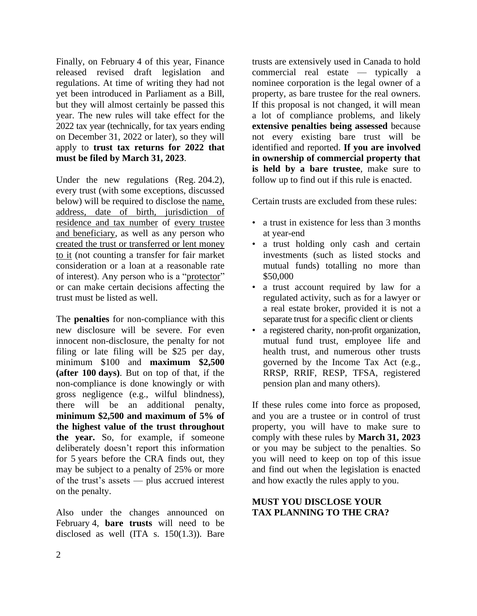Finally, on February 4 of this year, Finance released revised draft legislation and regulations. At time of writing they had not yet been introduced in Parliament as a Bill, but they will almost certainly be passed this year. The new rules will take effect for the 2022 tax year (technically, for tax years ending on December 31, 2022 or later), so they will apply to **trust tax returns for 2022 that must be filed by March 31, 2023**.

Under the new regulations (Reg. 204.2), every trust (with some exceptions, discussed below) will be required to disclose the name, address, date of birth, jurisdiction of residence and tax number of every trustee and beneficiary, as well as any person who created the trust or transferred or lent money to it (not counting a transfer for fair market consideration or a loan at a reasonable rate of interest). Any person who is a "protector" or can make certain decisions affecting the trust must be listed as well.

The **penalties** for non-compliance with this new disclosure will be severe. For even innocent non-disclosure, the penalty for not filing or late filing will be \$25 per day, minimum \$100 and **maximum \$2,500 (after 100 days)**. But on top of that, if the non-compliance is done knowingly or with gross negligence (e.g., wilful blindness), there will be an additional penalty, **minimum \$2,500 and maximum of 5% of the highest value of the trust throughout the year.** So, for example, if someone deliberately doesn't report this information for 5 years before the CRA finds out, they may be subject to a penalty of 25% or more of the trust's assets — plus accrued interest on the penalty.

Also under the changes announced on February 4, **bare trusts** will need to be disclosed as well (ITA s.  $150(1.3)$ ). Bare

trusts are extensively used in Canada to hold commercial real estate — typically a nominee corporation is the legal owner of a property, as bare trustee for the real owners. If this proposal is not changed, it will mean a lot of compliance problems, and likely **extensive penalties being assessed** because not every existing bare trust will be identified and reported. **If you are involved in ownership of commercial property that is held by a bare trustee**, make sure to follow up to find out if this rule is enacted.

Certain trusts are excluded from these rules:

- a trust in existence for less than 3 months at year-end
- a trust holding only cash and certain investments (such as listed stocks and mutual funds) totalling no more than \$50,000
- a trust account required by law for a regulated activity, such as for a lawyer or a real estate broker, provided it is not a separate trust for a specific client or clients
- a registered charity, non-profit organization, mutual fund trust, employee life and health trust, and numerous other trusts governed by the Income Tax Act (e.g., RRSP, RRIF, RESP, TFSA, registered pension plan and many others).

If these rules come into force as proposed, and you are a trustee or in control of trust property, you will have to make sure to comply with these rules by **March 31, 2023** or you may be subject to the penalties. So you will need to keep on top of this issue and find out when the legislation is enacted and how exactly the rules apply to you.

# **MUST YOU DISCLOSE YOUR TAX PLANNING TO THE CRA?**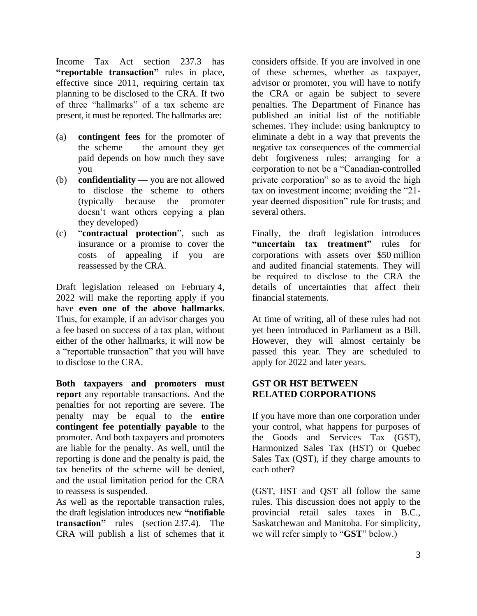Income Tax Act section 237.3 has **"reportable transaction"** rules in place, effective since 2011, requiring certain tax planning to be disclosed to the CRA. If two of three "hallmarks" of a tax scheme are present, it must be reported. The hallmarks are:

- (a) **contingent fees** for the promoter of the scheme — the amount they get paid depends on how much they save you
- (b) **confidentiality** you are not allowed to disclose the scheme to others (typically because the promoter doesn't want others copying a plan they developed)
- (c) "**contractual protection**", such as insurance or a promise to cover the costs of appealing if you are reassessed by the CRA.

Draft legislation released on February 4, 2022 will make the reporting apply if you have **even one of the above hallmarks**. Thus, for example, if an advisor charges you a fee based on success of a tax plan, without either of the other hallmarks, it will now be a "reportable transaction" that you will have to disclose to the CRA.

**Both taxpayers and promoters must report** any reportable transactions. And the penalties for not reporting are severe. The penalty may be equal to the **entire contingent fee potentially payable** to the promoter. And both taxpayers and promoters are liable for the penalty. As well, until the reporting is done and the penalty is paid, the tax benefits of the scheme will be denied, and the usual limitation period for the CRA to reassess is suspended.

As well as the reportable transaction rules, the draft legislation introduces new **"notifiable transaction"** rules (section 237.4). The CRA will publish a list of schemes that it

considers offside. If you are involved in one of these schemes, whether as taxpayer, advisor or promoter, you will have to notify the CRA or again be subject to severe penalties. The Department of Finance has published an initial list of the notifiable schemes. They include: using bankruptcy to eliminate a debt in a way that prevents the negative tax consequences of the commercial debt forgiveness rules; arranging for a corporation to not be a "Canadian-controlled private corporation" so as to avoid the high tax on investment income; avoiding the "21 year deemed disposition" rule for trusts; and several others.

Finally, the draft legislation introduces **"uncertain tax treatment"** rules for corporations with assets over \$50 million and audited financial statements. They will be required to disclose to the CRA the details of uncertainties that affect their financial statements.

At time of writing, all of these rules had not yet been introduced in Parliament as a Bill. However, they will almost certainly be passed this year. They are scheduled to apply for 2022 and later years.

## **GST OR HST BETWEEN RELATED CORPORATIONS**

If you have more than one corporation under your control, what happens for purposes of the Goods and Services Tax (GST), Harmonized Sales Tax (HST) or Quebec Sales Tax (QST), if they charge amounts to each other?

(GST, HST and QST all follow the same rules. This discussion does not apply to the provincial retail sales taxes in B.C., Saskatchewan and Manitoba. For simplicity, we will refer simply to "**GST**" below.)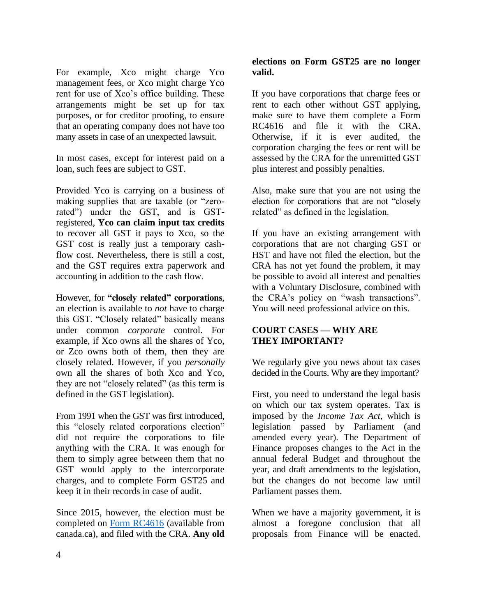For example, Xco might charge Yco management fees, or Xco might charge Yco rent for use of Xco's office building. These arrangements might be set up for tax purposes, or for creditor proofing, to ensure that an operating company does not have too many assets in case of an unexpected lawsuit.

In most cases, except for interest paid on a loan, such fees are subject to GST.

Provided Yco is carrying on a business of making supplies that are taxable (or "zerorated") under the GST, and is GSTregistered, **Yco can claim input tax credits** to recover all GST it pays to Xco, so the GST cost is really just a temporary cashflow cost. Nevertheless, there is still a cost, and the GST requires extra paperwork and accounting in addition to the cash flow.

However, for **"closely related" corporations**, an election is available to *not* have to charge this GST. "Closely related" basically means under common *corporate* control. For example, if Xco owns all the shares of Yco, or Zco owns both of them, then they are closely related. However, if you *personally* own all the shares of both Xco and Yco, they are not "closely related" (as this term is defined in the GST legislation).

From 1991 when the GST was first introduced, this "closely related corporations election" did not require the corporations to file anything with the CRA. It was enough for them to simply agree between them that no GST would apply to the intercorporate charges, and to complete Form GST25 and keep it in their records in case of audit.

Since 2015, however, the election must be completed on [Form RC4616](https://www.canada.ca/en/revenue-agency/services/forms-publications/forms/rc4616.html) (available from canada.ca), and filed with the CRA. **Any old** 

## **elections on Form GST25 are no longer valid.**

If you have corporations that charge fees or rent to each other without GST applying, make sure to have them complete a Form RC4616 and file it with the CRA. Otherwise, if it is ever audited, the corporation charging the fees or rent will be assessed by the CRA for the unremitted GST plus interest and possibly penalties.

Also, make sure that you are not using the election for corporations that are not "closely related" as defined in the legislation.

If you have an existing arrangement with corporations that are not charging GST or HST and have not filed the election, but the CRA has not yet found the problem, it may be possible to avoid all interest and penalties with a Voluntary Disclosure, combined with the CRA's policy on "wash transactions". You will need professional advice on this.

# **COURT CASES — WHY ARE THEY IMPORTANT?**

We regularly give you news about tax cases decided in the Courts. Why are they important?

First, you need to understand the legal basis on which our tax system operates. Tax is imposed by the *Income Tax Act*, which is legislation passed by Parliament (and amended every year). The Department of Finance proposes changes to the Act in the annual federal Budget and throughout the year, and draft amendments to the legislation, but the changes do not become law until Parliament passes them.

When we have a majority government, it is almost a foregone conclusion that all proposals from Finance will be enacted.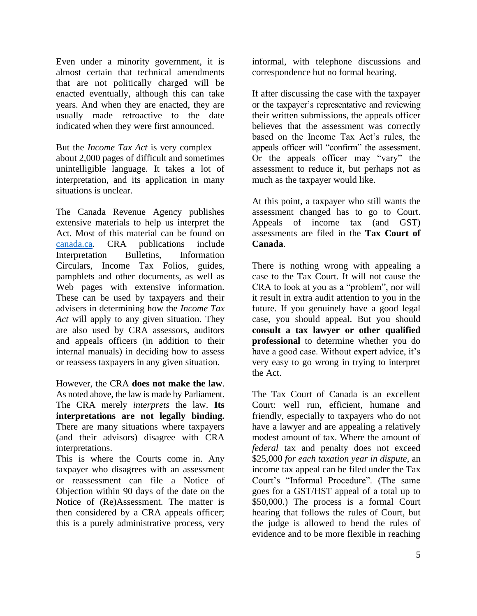Even under a minority government, it is almost certain that technical amendments that are not politically charged will be enacted eventually, although this can take years. And when they are enacted, they are usually made retroactive to the date indicated when they were first announced.

But the *Income Tax Act* is very complex about 2,000 pages of difficult and sometimes unintelligible language. It takes a lot of interpretation, and its application in many situations is unclear.

The Canada Revenue Agency publishes extensive materials to help us interpret the Act. Most of this material can be found on [canada.ca.](https://www.canada.ca/en/revenue-agency/services/forms-publications.html) CRA publications include Interpretation Bulletins, Information Circulars, Income Tax Folios, guides, pamphlets and other documents, as well as Web pages with extensive information. These can be used by taxpayers and their advisers in determining how the *Income Tax Act* will apply to any given situation. They are also used by CRA assessors, auditors and appeals officers (in addition to their internal manuals) in deciding how to assess or reassess taxpayers in any given situation.

However, the CRA **does not make the law**. As noted above, the law is made by Parliament. The CRA merely *interprets* the law. **Its interpretations are not legally binding.** There are many situations where taxpayers (and their advisors) disagree with CRA interpretations.

This is where the Courts come in. Any taxpayer who disagrees with an assessment or reassessment can file a Notice of Objection within 90 days of the date on the Notice of (Re)Assessment. The matter is then considered by a CRA appeals officer; this is a purely administrative process, very

informal, with telephone discussions and correspondence but no formal hearing.

If after discussing the case with the taxpayer or the taxpayer's representative and reviewing their written submissions, the appeals officer believes that the assessment was correctly based on the Income Tax Act's rules, the appeals officer will "confirm" the assessment. Or the appeals officer may "vary" the assessment to reduce it, but perhaps not as much as the taxpayer would like.

At this point, a taxpayer who still wants the assessment changed has to go to Court. Appeals of income tax (and GST) assessments are filed in the **Tax Court of Canada**.

There is nothing wrong with appealing a case to the Tax Court. It will not cause the CRA to look at you as a "problem", nor will it result in extra audit attention to you in the future. If you genuinely have a good legal case, you should appeal. But you should **consult a tax lawyer or other qualified professional** to determine whether you do have a good case. Without expert advice, it's very easy to go wrong in trying to interpret the Act.

The Tax Court of Canada is an excellent Court: well run, efficient, humane and friendly, especially to taxpayers who do not have a lawyer and are appealing a relatively modest amount of tax. Where the amount of *federal* tax and penalty does not exceed \$25,000 *for each taxation year in dispute*, an income tax appeal can be filed under the Tax Court's "Informal Procedure". (The same goes for a GST/HST appeal of a total up to \$50,000.) The process is a formal Court hearing that follows the rules of Court, but the judge is allowed to bend the rules of evidence and to be more flexible in reaching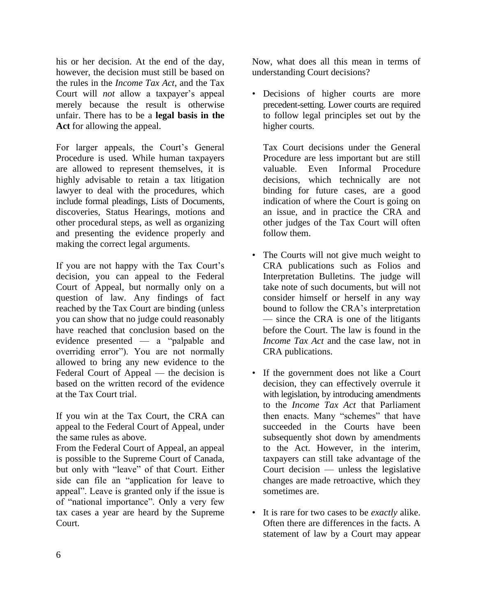his or her decision. At the end of the day, however, the decision must still be based on the rules in the *Income Tax Act*, and the Tax Court will *not* allow a taxpayer's appeal merely because the result is otherwise unfair. There has to be a **legal basis in the Act** for allowing the appeal.

For larger appeals, the Court's General Procedure is used. While human taxpayers are allowed to represent themselves, it is highly advisable to retain a tax litigation lawyer to deal with the procedures, which include formal pleadings, Lists of Documents, discoveries, Status Hearings, motions and other procedural steps, as well as organizing and presenting the evidence properly and making the correct legal arguments.

If you are not happy with the Tax Court's decision, you can appeal to the Federal Court of Appeal, but normally only on a question of law. Any findings of fact reached by the Tax Court are binding (unless you can show that no judge could reasonably have reached that conclusion based on the evidence presented — a "palpable and overriding error"). You are not normally allowed to bring any new evidence to the Federal Court of Appeal — the decision is based on the written record of the evidence at the Tax Court trial.

If you win at the Tax Court, the CRA can appeal to the Federal Court of Appeal, under the same rules as above.

From the Federal Court of Appeal, an appeal is possible to the Supreme Court of Canada, but only with "leave" of that Court. Either side can file an "application for leave to appeal". Leave is granted only if the issue is of "national importance". Only a very few tax cases a year are heard by the Supreme Court.

Now, what does all this mean in terms of understanding Court decisions?

• Decisions of higher courts are more precedent-setting. Lower courts are required to follow legal principles set out by the higher courts.

Tax Court decisions under the General Procedure are less important but are still valuable. Even Informal Procedure decisions, which technically are not binding for future cases, are a good indication of where the Court is going on an issue, and in practice the CRA and other judges of the Tax Court will often follow them.

- The Courts will not give much weight to CRA publications such as Folios and Interpretation Bulletins. The judge will take note of such documents, but will not consider himself or herself in any way bound to follow the CRA's interpretation — since the CRA is one of the litigants before the Court. The law is found in the *Income Tax Act* and the case law, not in CRA publications.
- If the government does not like a Court decision, they can effectively overrule it with legislation, by introducing amendments to the *Income Tax Act* that Parliament then enacts. Many "schemes" that have succeeded in the Courts have been subsequently shot down by amendments to the Act. However, in the interim, taxpayers can still take advantage of the Court decision — unless the legislative changes are made retroactive, which they sometimes are.
- It is rare for two cases to be *exactly* alike. Often there are differences in the facts. A statement of law by a Court may appear